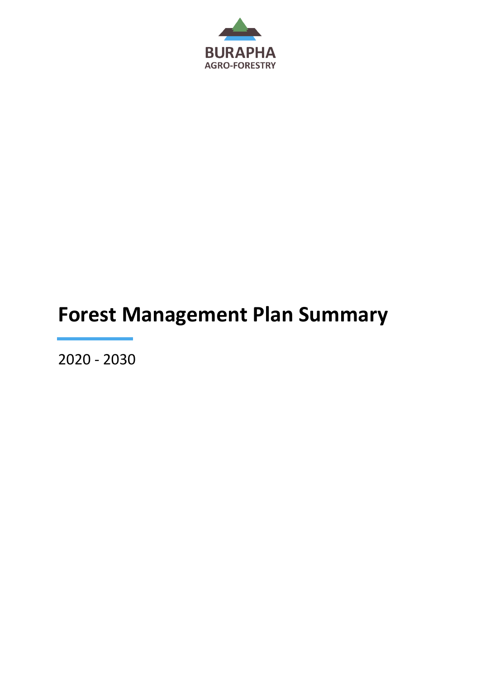

# **Forest Management Plan Summary**

2020 - 2030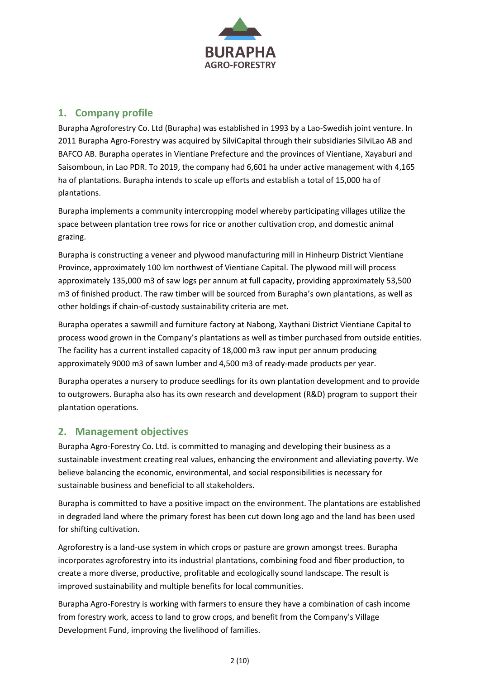

# **1. Company profile**

Burapha Agroforestry Co. Ltd (Burapha) was established in 1993 by a Lao-Swedish joint venture. In 2011 Burapha Agro-Forestry was acquired by SilviCapital through their subsidiaries SilviLao AB and BAFCO AB. Burapha operates in Vientiane Prefecture and the provinces of Vientiane, Xayaburi and Saisomboun, in Lao PDR. To 2019, the company had 6,601 ha under active management with 4,165 ha of plantations. Burapha intends to scale up efforts and establish a total of 15,000 ha of plantations.

Burapha implements a community intercropping model whereby participating villages utilize the space between plantation tree rows for rice or another cultivation crop, and domestic animal grazing.

Burapha is constructing a veneer and plywood manufacturing mill in Hinheurp District Vientiane Province, approximately 100 km northwest of Vientiane Capital. The plywood mill will process approximately 135,000 m3 of saw logs per annum at full capacity, providing approximately 53,500 m3 of finished product. The raw timber will be sourced from Burapha's own plantations, as well as other holdings if chain-of-custody sustainability criteria are met.

Burapha operates a sawmill and furniture factory at Nabong, Xaythani District Vientiane Capital to process wood grown in the Company's plantations as well as timber purchased from outside entities. The facility has a current installed capacity of 18,000 m3 raw input per annum producing approximately 9000 m3 of sawn lumber and 4,500 m3 of ready-made products per year.

Burapha operates a nursery to produce seedlings for its own plantation development and to provide to outgrowers. Burapha also has its own research and development (R&D) program to support their plantation operations.

## **2. Management objectives**

Burapha Agro-Forestry Co. Ltd. is committed to managing and developing their business as a sustainable investment creating real values, enhancing the environment and alleviating poverty. We believe balancing the economic, environmental, and social responsibilities is necessary for sustainable business and beneficial to all stakeholders.

Burapha is committed to have a positive impact on the environment. The plantations are established in degraded land where the primary forest has been cut down long ago and the land has been used for shifting cultivation.

Agroforestry is a land-use system in which crops or pasture are grown amongst trees. Burapha incorporates agroforestry into its industrial plantations, combining food and fiber production, to create a more diverse, productive, profitable and ecologically sound landscape. The result is improved sustainability and multiple benefits for local communities.

Burapha Agro-Forestry is working with farmers to ensure they have a combination of cash income from forestry work, access to land to grow crops, and benefit from the Company's Village Development Fund, improving the livelihood of families.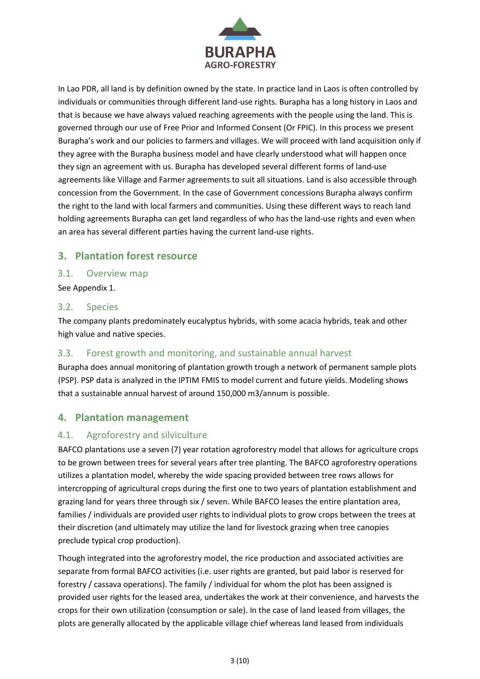

In Lao PDR, all land is by definition owned by the state. In practice land in Laos is often controlled by individuals or communities through different land-use rights. Burapha has a long history in Laos and that is because we have always valued reaching agreements with the people using the land. This is governed through our use of Free Prior and Informed Consent (Or FPIC). In this process we present Burapha's work and our policies to farmers and villages. We will proceed with land acquisition only if they agree with the Burapha business model and have clearly understood what will happen once they sign an agreement with us. Burapha has developed several different forms of land-use agreements like Village and Farmer agreements to suit all situations. Land is also accessible through concession from the Government. In the case of Government concessions Burapha always confirm the right to the land with local farmers and communities. Using these different ways to reach land holding agreements Burapha can get land regardless of who has the land-use rights and even when an area has several different parties having the current land-use rights.

#### **3. Plantation forest resource**

#### 3.1. Overview map

See Appendix 1.

#### 3.2. Species

The company plants predominately eucalyptus hybrids, with some acacia hybrids, teak and other high value and native species.

#### 3.3. Forest growth and monitoring, and sustainable annual harvest

Burapha does annual monitoring of plantation growth trough a network of permanent sample plots (PSP). PSP data is analyzed in the IPTIM FMIS to model current and future yields. Modeling shows that a sustainable annual harvest of around 150,000 m3/annum is possible.

#### **4. Plantation management**

#### 4.1. Agroforestry and silviculture

BAFCO plantations use a seven (7) year rotation agroforestry model that allows for agriculture crops to be grown between trees for several years after tree planting. The BAFCO agroforestry operations utilizes a plantation model, whereby the wide spacing provided between tree rows allows for intercropping of agricultural crops during the first one to two years of plantation establishment and grazing land for years three through six / seven. While BAFCO leases the entire plantation area, families / individuals are provided user rights to individual plots to grow crops between the trees at their discretion (and ultimately may utilize the land for livestock grazing when tree canopies preclude typical crop production).

Though integrated into the agroforestry model, the rice production and associated activities are separate from formal BAFCO activities (i.e. user rights are granted, but paid labor is reserved for forestry / cassava operations). The family / individual for whom the plot has been assigned is provided user rights for the leased area, undertakes the work at their convenience, and harvests the crops for their own utilization (consumption or sale). In the case of land leased from villages, the plots are generally allocated by the applicable village chief whereas land leased from individuals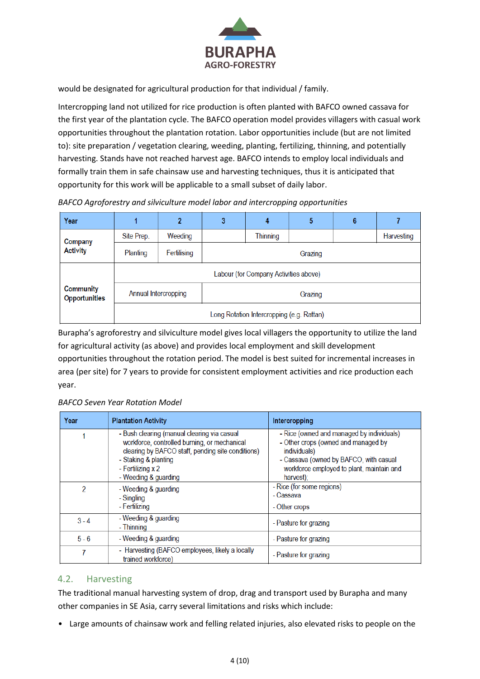

would be designated for agricultural production for that individual / family.

Intercropping land not utilized for rice production is often planted with BAFCO owned cassava for the first year of the plantation cycle. The BAFCO operation model provides villagers with casual work opportunities throughout the plantation rotation. Labor opportunities include (but are not limited to): site preparation / vegetation clearing, weeding, planting, fertilizing, thinning, and potentially harvesting. Stands have not reached harvest age. BAFCO intends to employ local individuals and formally train them in safe chainsaw use and harvesting techniques, thus it is anticipated that opportunity for this work will be applicable to a small subset of daily labor.

| Year                                     |                                           | 2           | 3       | 4        | 5 | 6 |            |
|------------------------------------------|-------------------------------------------|-------------|---------|----------|---|---|------------|
| Company<br><b>Activity</b>               | Site Prep.                                | Weeding     |         | Thinning |   |   | Harvesting |
|                                          | Planting                                  | Fertilising | Grazing |          |   |   |            |
| <b>Community</b><br><b>Opportunities</b> | Labour (for Company Activities above)     |             |         |          |   |   |            |
|                                          | Annual Intercropping                      |             | Grazing |          |   |   |            |
|                                          | Long Rotation Intercropping (e.g. Rattan) |             |         |          |   |   |            |

*BAFCO Agroforestry and silviculture model labor and intercropping opportunities*

Burapha's agroforestry and silviculture model gives local villagers the opportunity to utilize the land for agricultural activity (as above) and provides local employment and skill development opportunities throughout the rotation period. The model is best suited for incremental increases in area (per site) for 7 years to provide for consistent employment activities and rice production each year.

|  | BAFCO Seven Year Rotation Model |
|--|---------------------------------|
|--|---------------------------------|

| Year    | <b>Plantation Activity</b>                                                                                                                                                                                            | Intercropping                                                                                                                                                                                        |
|---------|-----------------------------------------------------------------------------------------------------------------------------------------------------------------------------------------------------------------------|------------------------------------------------------------------------------------------------------------------------------------------------------------------------------------------------------|
|         | - Bush clearing (manual clearing via casual<br>workforce, controlled burning, or mechanical<br>clearing by BAFCO staff, pending site conditions)<br>- Staking & planting<br>- Fertilizing x 2<br>- Weeding & guarding | - Rice (owned and managed by individuals)<br>- Other crops (owned and managed by<br>individuals)<br>- Cassava (owned by BAFCO, with casual<br>workforce employed to plant, maintain and<br>harvest); |
| 2       | - Weeding & guarding<br>- Singling<br>- Fertilizing                                                                                                                                                                   | - Rice (for some regions)<br>- Cassava<br>- Other crops                                                                                                                                              |
| $3 - 4$ | - Weeding & guarding<br>- Thinning                                                                                                                                                                                    | - Pasture for grazing                                                                                                                                                                                |
| $5 - 6$ | - Weeding & guarding                                                                                                                                                                                                  | - Pasture for grazing                                                                                                                                                                                |
|         | - Harvesting (BAFCO employees, likely a locally<br>trained workforce)                                                                                                                                                 | - Pasture for grazing                                                                                                                                                                                |

#### 4.2. Harvesting

The traditional manual harvesting system of drop, drag and transport used by Burapha and many other companies in SE Asia, carry several limitations and risks which include:

• Large amounts of chainsaw work and felling related injuries, also elevated risks to people on the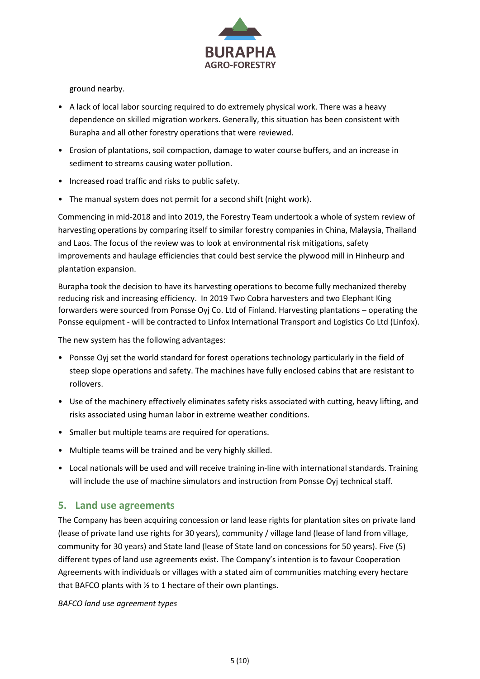

ground nearby.

- A lack of local labor sourcing required to do extremely physical work. There was a heavy dependence on skilled migration workers. Generally, this situation has been consistent with Burapha and all other forestry operations that were reviewed.
- Erosion of plantations, soil compaction, damage to water course buffers, and an increase in sediment to streams causing water pollution.
- Increased road traffic and risks to public safety.
- The manual system does not permit for a second shift (night work).

Commencing in mid-2018 and into 2019, the Forestry Team undertook a whole of system review of harvesting operations by comparing itself to similar forestry companies in China, Malaysia, Thailand and Laos. The focus of the review was to look at environmental risk mitigations, safety improvements and haulage efficiencies that could best service the plywood mill in Hinheurp and plantation expansion.

Burapha took the decision to have its harvesting operations to become fully mechanized thereby reducing risk and increasing efficiency. In 2019 Two Cobra harvesters and two Elephant King forwarders were sourced from Ponsse Oyj Co. Ltd of Finland. Harvesting plantations – operating the Ponsse equipment - will be contracted to Linfox International Transport and Logistics Co Ltd (Linfox).

The new system has the following advantages:

- Ponsse Oyj set the world standard for forest operations technology particularly in the field of steep slope operations and safety. The machines have fully enclosed cabins that are resistant to rollovers.
- Use of the machinery effectively eliminates safety risks associated with cutting, heavy lifting, and risks associated using human labor in extreme weather conditions.
- Smaller but multiple teams are required for operations.
- Multiple teams will be trained and be very highly skilled.
- Local nationals will be used and will receive training in-line with international standards. Training will include the use of machine simulators and instruction from Ponsse Oyj technical staff.

#### **5. Land use agreements**

The Company has been acquiring concession or land lease rights for plantation sites on private land (lease of private land use rights for 30 years), community / village land (lease of land from village, community for 30 years) and State land (lease of State land on concessions for 50 years). Five (5) different types of land use agreements exist. The Company's intention is to favour Cooperation Agreements with individuals or villages with a stated aim of communities matching every hectare that BAFCO plants with ½ to 1 hectare of their own plantings.

*BAFCO land use agreement types*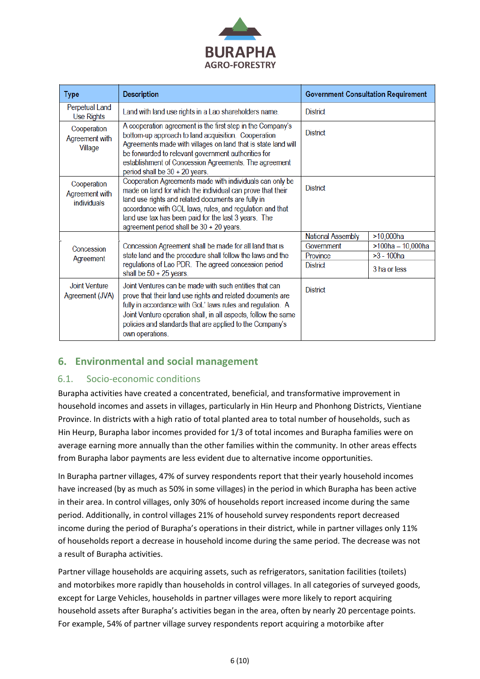

| <b>Type</b>                                  | <b>Description</b>                                                                                                                                                                                                                                                                                                                           | <b>Government Consultation Requirement</b> |                      |  |
|----------------------------------------------|----------------------------------------------------------------------------------------------------------------------------------------------------------------------------------------------------------------------------------------------------------------------------------------------------------------------------------------------|--------------------------------------------|----------------------|--|
| Perpetual Land<br><b>Use Rights</b>          | Land with land use rights in a Lao shareholders name.                                                                                                                                                                                                                                                                                        | <b>District</b>                            |                      |  |
| Cooperation<br>Agreement with<br>Village     | A cooperation agreement is the first step in the Company's<br>bottom-up approach to land acquisition. Cooperation<br>Agreements made with villages on land that is state land will<br>be forwarded to relevant government authorities for<br>establishment of Concession Agreements. The agreement<br>period shall be $30 + 20$ years.       | <b>District</b>                            |                      |  |
| Cooperation<br>Agreement with<br>individuals | Cooperation Agreements made with individuals can only be<br>made on land for which the individual can prove that their<br>land use rights and related documents are fully in<br>accordance with GOL laws, rules, and regulation and that<br>land use tax has been paid for the last 3 years. The<br>agreement period shall be 30 + 20 years. | <b>District</b>                            |                      |  |
|                                              |                                                                                                                                                                                                                                                                                                                                              | <b>National Assembly</b>                   | $>10,000$ ha         |  |
| Concession                                   | Concession Agreement shall be made for all land that is                                                                                                                                                                                                                                                                                      | Government                                 | $>100$ ha - 10,000ha |  |
| Agreement                                    | state land and the procedure shall follow the laws and the                                                                                                                                                                                                                                                                                   | Province                                   | $>3 - 100$ ha        |  |
|                                              | regulations of Lao PDR. The agreed concession period<br>shall be $50 + 25$ years.                                                                                                                                                                                                                                                            | <b>District</b>                            | 3 ha or less         |  |
| <b>Joint Venture</b><br>Agreement (JVA)      | Joint Ventures can be made with such entities that can<br>prove that their land use rights and related documents are<br>fully in accordance with GoL' laws rules and regulation. A<br>Joint Venture operation shall, in all aspects, follow the same<br>policies and standards that are applied to the Company's<br>own operations.          | <b>District</b>                            |                      |  |

## **6. Environmental and social management**

#### 6.1. Socio-economic conditions

Burapha activities have created a concentrated, beneficial, and transformative improvement in household incomes and assets in villages, particularly in Hin Heurp and Phonhong Districts, Vientiane Province. In districts with a high ratio of total planted area to total number of households, such as Hin Heurp, Burapha labor incomes provided for 1/3 of total incomes and Burapha families were on average earning more annually than the other families within the community. In other areas effects from Burapha labor payments are less evident due to alternative income opportunities.

In Burapha partner villages, 47% of survey respondents report that their yearly household incomes have increased (by as much as 50% in some villages) in the period in which Burapha has been active in their area. In control villages, only 30% of households report increased income during the same period. Additionally, in control villages 21% of household survey respondents report decreased income during the period of Burapha's operations in their district, while in partner villages only 11% of households report a decrease in household income during the same period. The decrease was not a result of Burapha activities.

Partner village households are acquiring assets, such as refrigerators, sanitation facilities (toilets) and motorbikes more rapidly than households in control villages. In all categories of surveyed goods, except for Large Vehicles, households in partner villages were more likely to report acquiring household assets after Burapha's activities began in the area, often by nearly 20 percentage points. For example, 54% of partner village survey respondents report acquiring a motorbike after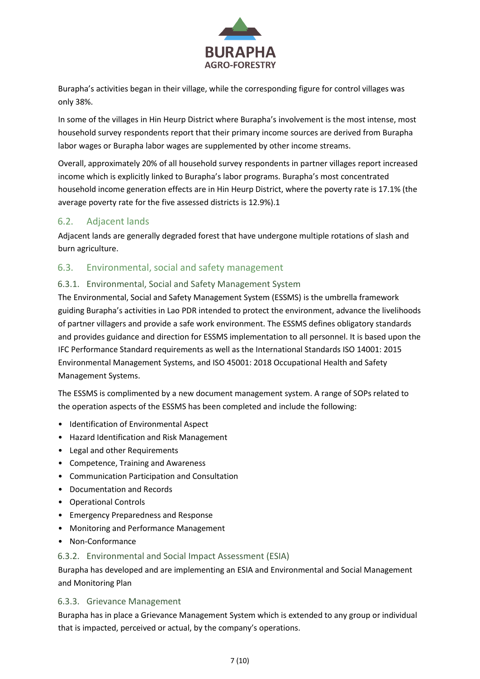

Burapha's activities began in their village, while the corresponding figure for control villages was only 38%.

In some of the villages in Hin Heurp District where Burapha's involvement is the most intense, most household survey respondents report that their primary income sources are derived from Burapha labor wages or Burapha labor wages are supplemented by other income streams.

Overall, approximately 20% of all household survey respondents in partner villages report increased income which is explicitly linked to Burapha's labor programs. Burapha's most concentrated household income generation effects are in Hin Heurp District, where the poverty rate is 17.1% (the average poverty rate for the five assessed districts is 12.9%).1

#### 6.2. Adjacent lands

Adjacent lands are generally degraded forest that have undergone multiple rotations of slash and burn agriculture.

#### 6.3. Environmental, social and safety management

#### 6.3.1. Environmental, Social and Safety Management System

The Environmental, Social and Safety Management System (ESSMS) is the umbrella framework guiding Burapha's activities in Lao PDR intended to protect the environment, advance the livelihoods of partner villagers and provide a safe work environment. The ESSMS defines obligatory standards and provides guidance and direction for ESSMS implementation to all personnel. It is based upon the IFC Performance Standard requirements as well as the International Standards ISO 14001: 2015 Environmental Management Systems, and ISO 45001: 2018 Occupational Health and Safety Management Systems.

The ESSMS is complimented by a new document management system. A range of SOPs related to the operation aspects of the ESSMS has been completed and include the following:

- Identification of Environmental Aspect
- Hazard Identification and Risk Management
- Legal and other Requirements
- Competence, Training and Awareness
- Communication Participation and Consultation
- Documentation and Records
- Operational Controls
- Emergency Preparedness and Response
- Monitoring and Performance Management
- Non-Conformance

#### 6.3.2. Environmental and Social Impact Assessment (ESIA)

Burapha has developed and are implementing an ESIA and Environmental and Social Management and Monitoring Plan

#### 6.3.3. Grievance Management

Burapha has in place a Grievance Management System which is extended to any group or individual that is impacted, perceived or actual, by the company's operations.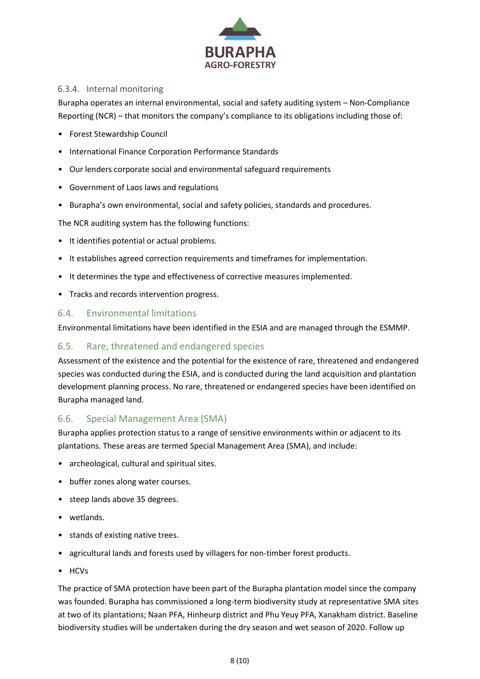

#### 6.3.4. Internal monitoring

Burapha operates an internal environmental, social and safety auditing system – Non-Compliance Reporting (NCR) – that monitors the company's compliance to its obligations including those of:

- Forest Stewardship Council
- International Finance Corporation Performance Standards
- Our lenders corporate social and environmental safeguard requirements
- Government of Laos laws and regulations
- Burapha's own environmental, social and safety policies, standards and procedures.

The NCR auditing system has the following functions:

- It identifies potential or actual problems.
- It establishes agreed correction requirements and timeframes for implementation.
- It determines the type and effectiveness of corrective measures implemented.
- Tracks and records intervention progress.

#### 6.4. Environmental limitations

Environmental limitations have been identified in the ESIA and are managed through the ESMMP.

#### 6.5. Rare, threatened and endangered species

Assessment of the existence and the potential for the existence of rare, threatened and endangered species was conducted during the ESIA, and is conducted during the land acquisition and plantation development planning process. No rare, threatened or endangered species have been identified on Burapha managed land.

#### 6.6. Special Management Area (SMA)

Burapha applies protection status to a range of sensitive environments within or adjacent to its plantations. These areas are termed Special Management Area (SMA), and include:

- archeological, cultural and spiritual sites.
- buffer zones along water courses.
- steep lands above 35 degrees.
- wetlands.
- stands of existing native trees.
- agricultural lands and forests used by villagers for non-timber forest products.
- HCVs

The practice of SMA protection have been part of the Burapha plantation model since the company was founded. Burapha has commissioned a long-term biodiversity study at representative SMA sites at two of its plantations; Naan PFA, Hinheurp district and Phu Yeuy PFA, Xanakham district. Baseline biodiversity studies will be undertaken during the dry season and wet season of 2020. Follow up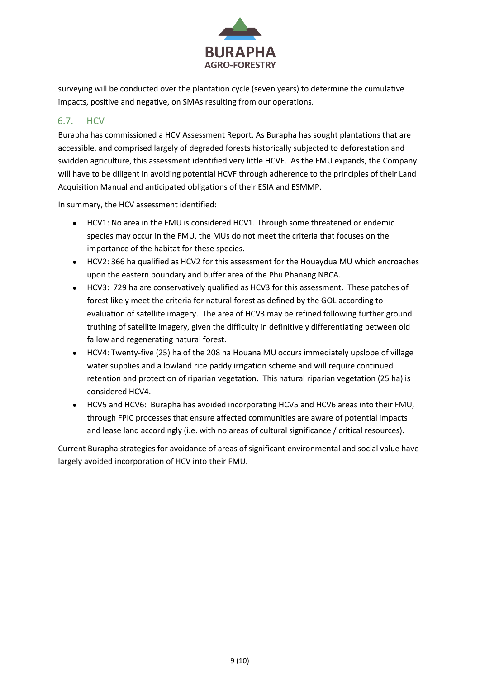

surveying will be conducted over the plantation cycle (seven years) to determine the cumulative impacts, positive and negative, on SMAs resulting from our operations.

#### 6.7. HCV

Burapha has commissioned a HCV Assessment Report. As Burapha has sought plantations that are accessible, and comprised largely of degraded forests historically subjected to deforestation and swidden agriculture, this assessment identified very little HCVF. As the FMU expands, the Company will have to be diligent in avoiding potential HCVF through adherence to the principles of their Land Acquisition Manual and anticipated obligations of their ESIA and ESMMP.

In summary, the HCV assessment identified:

- HCV1: No area in the FMU is considered HCV1. Through some threatened or endemic species may occur in the FMU, the MUs do not meet the criteria that focuses on the importance of the habitat for these species.
- HCV2: 366 ha qualified as HCV2 for this assessment for the Houaydua MU which encroaches upon the eastern boundary and buffer area of the Phu Phanang NBCA.
- HCV3: 729 ha are conservatively qualified as HCV3 for this assessment. These patches of forest likely meet the criteria for natural forest as defined by the GOL according to evaluation of satellite imagery. The area of HCV3 may be refined following further ground truthing of satellite imagery, given the difficulty in definitively differentiating between old fallow and regenerating natural forest.
- HCV4: Twenty-five (25) ha of the 208 ha Houana MU occurs immediately upslope of village water supplies and a lowland rice paddy irrigation scheme and will require continued retention and protection of riparian vegetation. This natural riparian vegetation (25 ha) is considered HCV4.
- HCV5 and HCV6: Burapha has avoided incorporating HCV5 and HCV6 areas into their FMU, through FPIC processes that ensure affected communities are aware of potential impacts and lease land accordingly (i.e. with no areas of cultural significance / critical resources).

Current Burapha strategies for avoidance of areas of significant environmental and social value have largely avoided incorporation of HCV into their FMU.